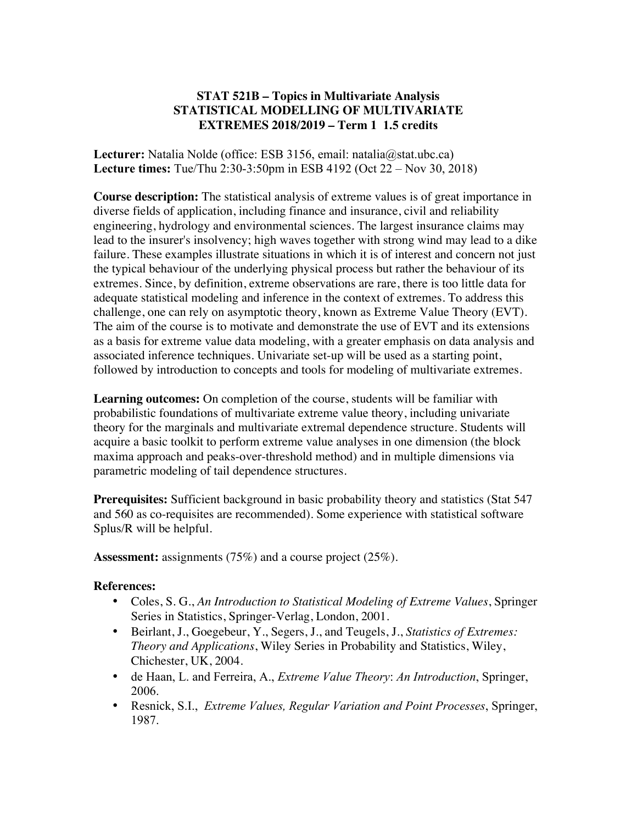## **STAT 521B – Topics in Multivariate Analysis STATISTICAL MODELLING OF MULTIVARIATE EXTREMES 2018/2019 – Term 1 1.5 credits**

**Lecturer:** Natalia Nolde (office: ESB 3156, email: natalia@stat.ubc.ca) **Lecture times:** Tue/Thu 2:30-3:50pm in ESB 4192 (Oct 22 – Nov 30, 2018)

**Course description:** The statistical analysis of extreme values is of great importance in diverse fields of application, including finance and insurance, civil and reliability engineering, hydrology and environmental sciences. The largest insurance claims may lead to the insurer's insolvency; high waves together with strong wind may lead to a dike failure. These examples illustrate situations in which it is of interest and concern not just the typical behaviour of the underlying physical process but rather the behaviour of its extremes. Since, by definition, extreme observations are rare, there is too little data for adequate statistical modeling and inference in the context of extremes. To address this challenge, one can rely on asymptotic theory, known as Extreme Value Theory (EVT). The aim of the course is to motivate and demonstrate the use of EVT and its extensions as a basis for extreme value data modeling, with a greater emphasis on data analysis and associated inference techniques. Univariate set-up will be used as a starting point, followed by introduction to concepts and tools for modeling of multivariate extremes.

**Learning outcomes:** On completion of the course, students will be familiar with probabilistic foundations of multivariate extreme value theory, including univariate theory for the marginals and multivariate extremal dependence structure. Students will acquire a basic toolkit to perform extreme value analyses in one dimension (the block maxima approach and peaks-over-threshold method) and in multiple dimensions via parametric modeling of tail dependence structures.

**Prerequisites:** Sufficient background in basic probability theory and statistics (Stat 547 and 560 as co-requisites are recommended). Some experience with statistical software Splus/R will be helpful.

**Assessment:** assignments (75%) and a course project (25%).

## **References:**

- Coles, S. G., *An Introduction to Statistical Modeling of Extreme Values*, Springer Series in Statistics, Springer-Verlag, London, 2001.
- Beirlant, J., Goegebeur, Y., Segers, J., and Teugels, J., *Statistics of Extremes: Theory and Applications*, Wiley Series in Probability and Statistics, Wiley, Chichester, UK, 2004.
- de Haan, L. and Ferreira, A., *Extreme Value Theory*: *An Introduction*, Springer, 2006.
- Resnick, S.I., *Extreme Values, Regular Variation and Point Processes*, Springer, 1987.